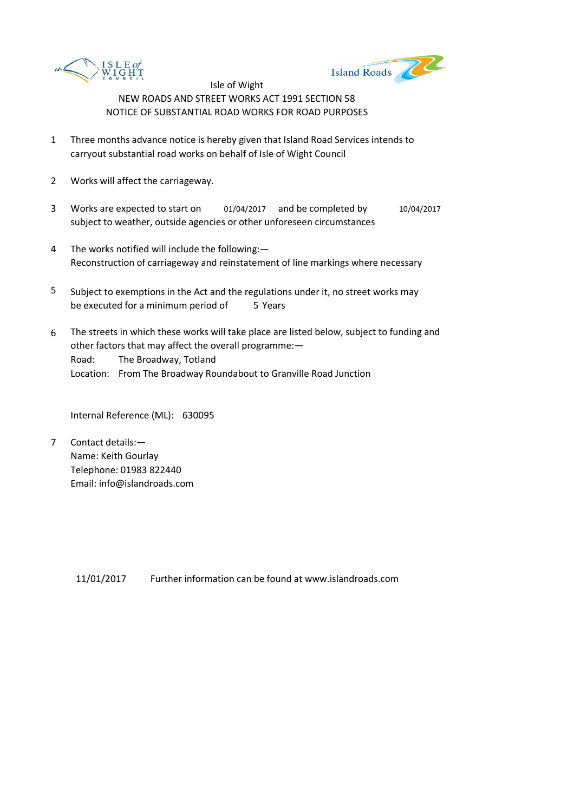



- 1 Three months advance notice is hereby given that Island Road Services intends to carryout substantial road works on behalf of Isle of Wight Council
- 2 Works will affect the carriageway.
- 3 Works are expected to start on  $01/04/2017$  and be completed by  $10/04/2017$ subject to weather, outside agencies or other unforeseen circumstances
- 4 The works notified will include the following:— Reconstruction of carriageway and reinstatement of line markings where necessary
- 5 be executed for a minimum period of 5 Years Subject to exemptions in the Act and the regulations under it, no street works may
- 6 Road: The Broadway, Totland Location: From The Broadway Roundabout to Granville Road Junction The streets in which these works will take place are listed below, subject to funding and other factors that may affect the overall programme:—

Internal Reference (ML): 630095

7 Contact details:— Name: Keith Gourlay Telephone: 01983 822440 Email: info@islandroads.com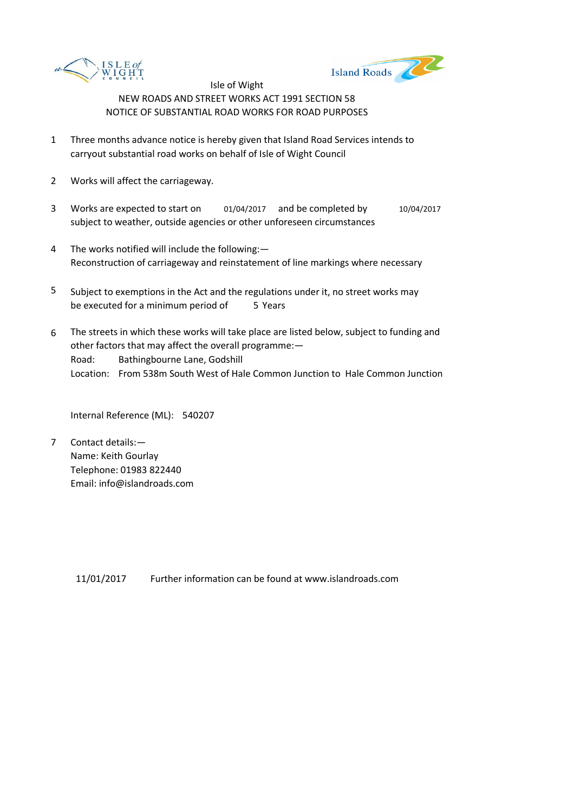



- 1 Three months advance notice is hereby given that Island Road Services intends to carryout substantial road works on behalf of Isle of Wight Council
- 2 Works will affect the carriageway.
- 3 Works are expected to start on  $01/04/2017$  and be completed by  $10/04/2017$ subject to weather, outside agencies or other unforeseen circumstances
- 4 The works notified will include the following:— Reconstruction of carriageway and reinstatement of line markings where necessary
- 5 be executed for a minimum period of 5 Years Subject to exemptions in the Act and the regulations under it, no street works may
- 6 Road: Bathingbourne Lane, Godshill Location: From 538m South West of Hale Common Junction to Hale Common Junction The streets in which these works will take place are listed below, subject to funding and other factors that may affect the overall programme:—

Internal Reference (ML): 540207

7 Contact details:— Name: Keith Gourlay Telephone: 01983 822440 Email: info@islandroads.com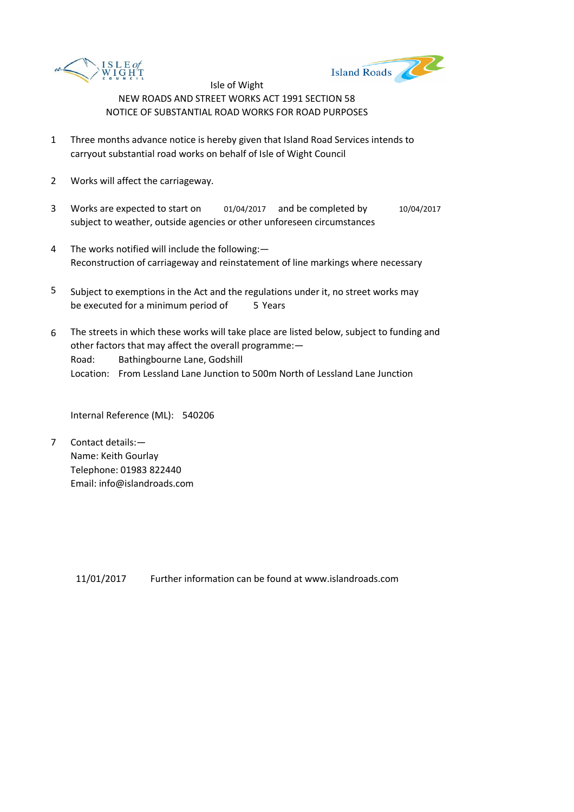



- 1 Three months advance notice is hereby given that Island Road Services intends to carryout substantial road works on behalf of Isle of Wight Council
- 2 Works will affect the carriageway.
- 3 Works are expected to start on  $01/04/2017$  and be completed by  $10/04/2017$ subject to weather, outside agencies or other unforeseen circumstances
- 4 The works notified will include the following:— Reconstruction of carriageway and reinstatement of line markings where necessary
- 5 be executed for a minimum period of 5 Years Subject to exemptions in the Act and the regulations under it, no street works may
- 6 Road: Bathingbourne Lane, Godshill Location: From Lessland Lane Junction to 500m North of Lessland Lane Junction The streets in which these works will take place are listed below, subject to funding and other factors that may affect the overall programme:—

Internal Reference (ML): 540206

7 Contact details:— Name: Keith Gourlay Telephone: 01983 822440 Email: info@islandroads.com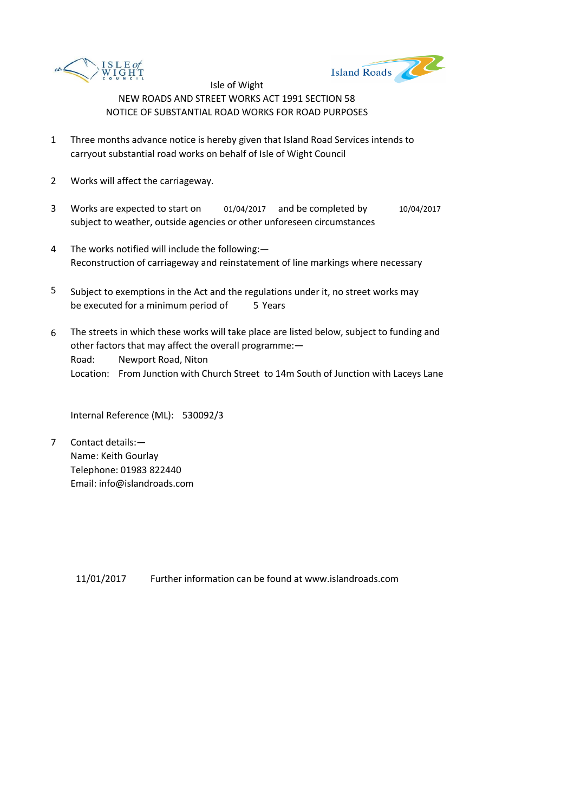



- 1 Three months advance notice is hereby given that Island Road Services intends to carryout substantial road works on behalf of Isle of Wight Council
- 2 Works will affect the carriageway.
- 3 Works are expected to start on  $01/04/2017$  and be completed by  $10/04/2017$ subject to weather, outside agencies or other unforeseen circumstances
- 4 The works notified will include the following:— Reconstruction of carriageway and reinstatement of line markings where necessary
- 5 be executed for a minimum period of 5 Years Subject to exemptions in the Act and the regulations under it, no street works may
- 6 Road: Newport Road, Niton Location: From Junction with Church Street to 14m South of Junction with Laceys Lane The streets in which these works will take place are listed below, subject to funding and other factors that may affect the overall programme:—

Internal Reference (ML): 530092/3

7 Contact details:— Name: Keith Gourlay Telephone: 01983 822440 Email: info@islandroads.com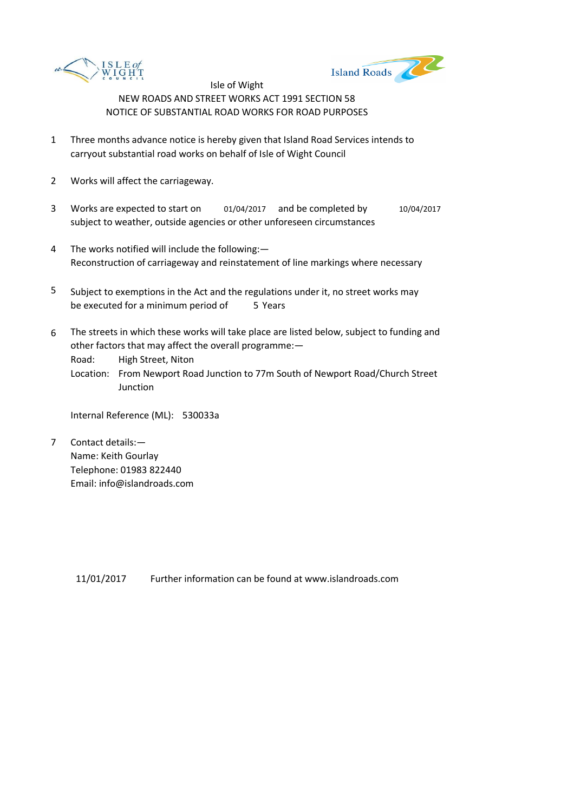



- 1 Three months advance notice is hereby given that Island Road Services intends to carryout substantial road works on behalf of Isle of Wight Council
- 2 Works will affect the carriageway.
- 3 Works are expected to start on  $01/04/2017$  and be completed by  $10/04/2017$ subject to weather, outside agencies or other unforeseen circumstances
- 4 The works notified will include the following:— Reconstruction of carriageway and reinstatement of line markings where necessary
- 5 be executed for a minimum period of 5 Years Subject to exemptions in the Act and the regulations under it, no street works may
- 6 The streets in which these works will take place are listed below, subject to funding and other factors that may affect the overall programme:—

Road: High Street, Niton

Location: From Newport Road Junction to 77m South of Newport Road/Church Street Junction

Internal Reference (ML): 530033a

7 Contact details:— Name: Keith Gourlay Telephone: 01983 822440 Email: info@islandroads.com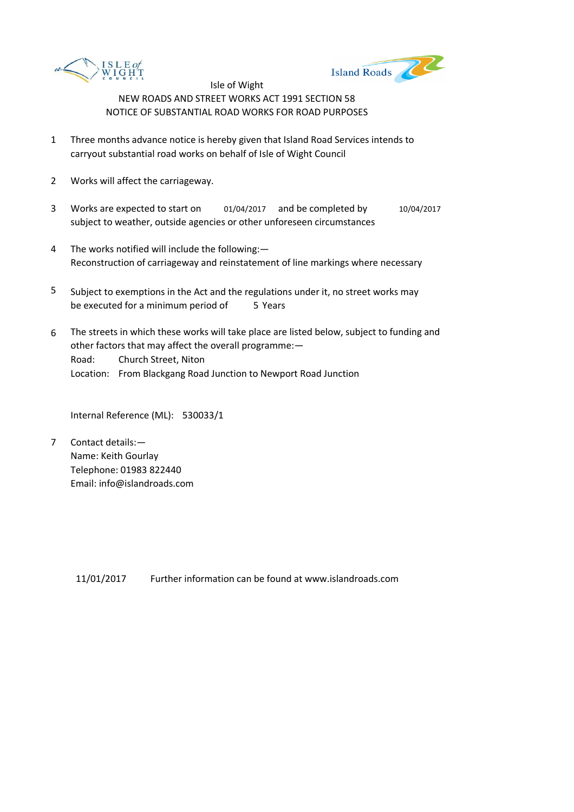



- 1 Three months advance notice is hereby given that Island Road Services intends to carryout substantial road works on behalf of Isle of Wight Council
- 2 Works will affect the carriageway.
- 3 Works are expected to start on  $01/04/2017$  and be completed by  $10/04/2017$ subject to weather, outside agencies or other unforeseen circumstances
- 4 The works notified will include the following:— Reconstruction of carriageway and reinstatement of line markings where necessary
- 5 be executed for a minimum period of 5 Years Subject to exemptions in the Act and the regulations under it, no street works may
- 6 Road: Church Street, Niton Location: From Blackgang Road Junction to Newport Road Junction The streets in which these works will take place are listed below, subject to funding and other factors that may affect the overall programme:—

Internal Reference (ML): 530033/1

7 Contact details:— Name: Keith Gourlay Telephone: 01983 822440 Email: info@islandroads.com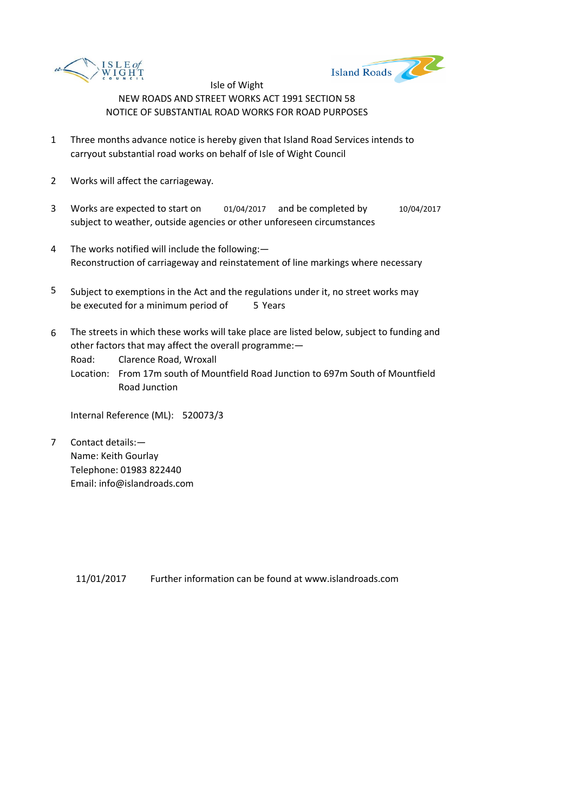



- 1 Three months advance notice is hereby given that Island Road Services intends to carryout substantial road works on behalf of Isle of Wight Council
- 2 Works will affect the carriageway.
- 3 Works are expected to start on  $01/04/2017$  and be completed by  $10/04/2017$ subject to weather, outside agencies or other unforeseen circumstances
- 4 The works notified will include the following:— Reconstruction of carriageway and reinstatement of line markings where necessary
- 5 be executed for a minimum period of 5 Years Subject to exemptions in the Act and the regulations under it, no street works may
- 6 The streets in which these works will take place are listed below, subject to funding and other factors that may affect the overall programme:—

Road: Clarence Road, Wroxall

Location: From 17m south of Mountfield Road Junction to 697m South of Mountfield Road Junction

Internal Reference (ML): 520073/3

7 Contact details:— Name: Keith Gourlay Telephone: 01983 822440 Email: info@islandroads.com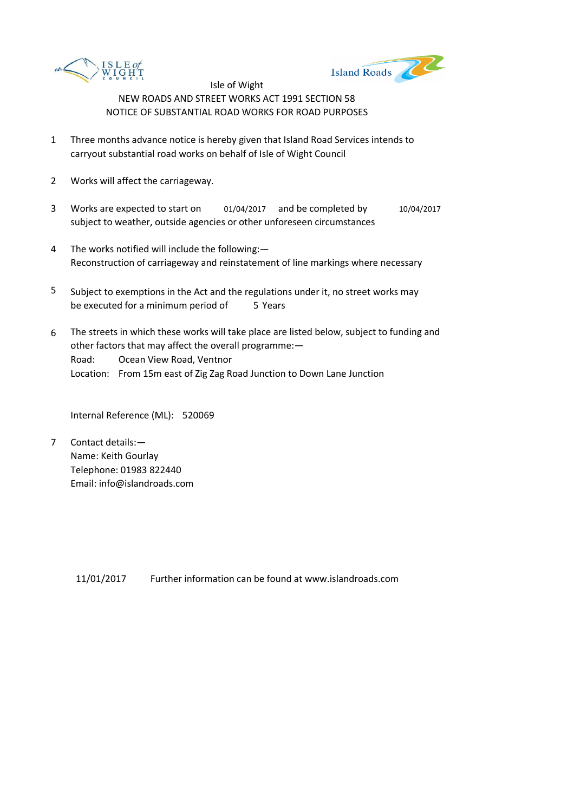



- 1 Three months advance notice is hereby given that Island Road Services intends to carryout substantial road works on behalf of Isle of Wight Council
- 2 Works will affect the carriageway.
- 3 Works are expected to start on  $01/04/2017$  and be completed by  $10/04/2017$ subject to weather, outside agencies or other unforeseen circumstances
- 4 The works notified will include the following:— Reconstruction of carriageway and reinstatement of line markings where necessary
- 5 be executed for a minimum period of 5 Years Subject to exemptions in the Act and the regulations under it, no street works may
- 6 Road: Ocean View Road, Ventnor Location: From 15m east of Zig Zag Road Junction to Down Lane Junction The streets in which these works will take place are listed below, subject to funding and other factors that may affect the overall programme:—

Internal Reference (ML): 520069

7 Contact details:— Name: Keith Gourlay Telephone: 01983 822440 Email: info@islandroads.com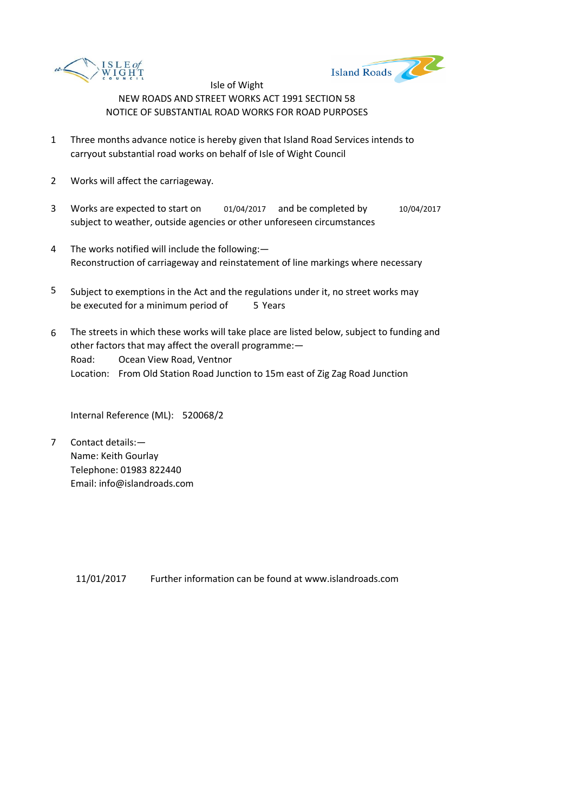



- 1 Three months advance notice is hereby given that Island Road Services intends to carryout substantial road works on behalf of Isle of Wight Council
- 2 Works will affect the carriageway.
- 3 Works are expected to start on  $01/04/2017$  and be completed by  $10/04/2017$ subject to weather, outside agencies or other unforeseen circumstances
- 4 The works notified will include the following:— Reconstruction of carriageway and reinstatement of line markings where necessary
- 5 be executed for a minimum period of 5 Years Subject to exemptions in the Act and the regulations under it, no street works may
- 6 Road: Ocean View Road, Ventnor Location: From Old Station Road Junction to 15m east of Zig Zag Road Junction The streets in which these works will take place are listed below, subject to funding and other factors that may affect the overall programme:—

Internal Reference (ML): 520068/2

7 Contact details:— Name: Keith Gourlay Telephone: 01983 822440 Email: info@islandroads.com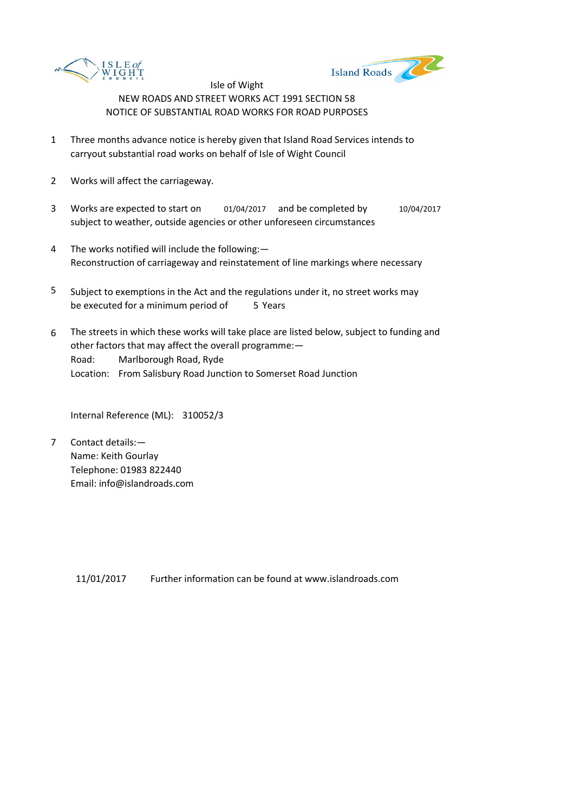



- 1 Three months advance notice is hereby given that Island Road Services intends to carryout substantial road works on behalf of Isle of Wight Council
- 2 Works will affect the carriageway.
- 3 Works are expected to start on  $01/04/2017$  and be completed by  $10/04/2017$ subject to weather, outside agencies or other unforeseen circumstances
- 4 The works notified will include the following:— Reconstruction of carriageway and reinstatement of line markings where necessary
- 5 be executed for a minimum period of 5 Years Subject to exemptions in the Act and the regulations under it, no street works may
- 6 Road: Marlborough Road, Ryde Location: From Salisbury Road Junction to Somerset Road Junction The streets in which these works will take place are listed below, subject to funding and other factors that may affect the overall programme:—

Internal Reference (ML): 310052/3

7 Contact details:— Name: Keith Gourlay Telephone: 01983 822440 Email: info@islandroads.com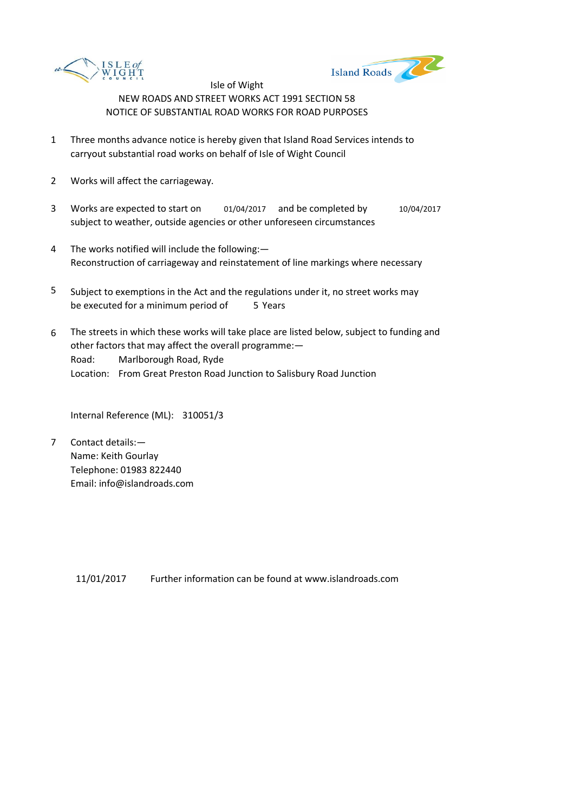



- 1 Three months advance notice is hereby given that Island Road Services intends to carryout substantial road works on behalf of Isle of Wight Council
- 2 Works will affect the carriageway.
- 3 Works are expected to start on  $01/04/2017$  and be completed by  $10/04/2017$ subject to weather, outside agencies or other unforeseen circumstances
- 4 The works notified will include the following:— Reconstruction of carriageway and reinstatement of line markings where necessary
- 5 be executed for a minimum period of 5 Years Subject to exemptions in the Act and the regulations under it, no street works may
- 6 Road: Marlborough Road, Ryde Location: From Great Preston Road Junction to Salisbury Road Junction The streets in which these works will take place are listed below, subject to funding and other factors that may affect the overall programme:—

Internal Reference (ML): 310051/3

7 Contact details:— Name: Keith Gourlay Telephone: 01983 822440 Email: info@islandroads.com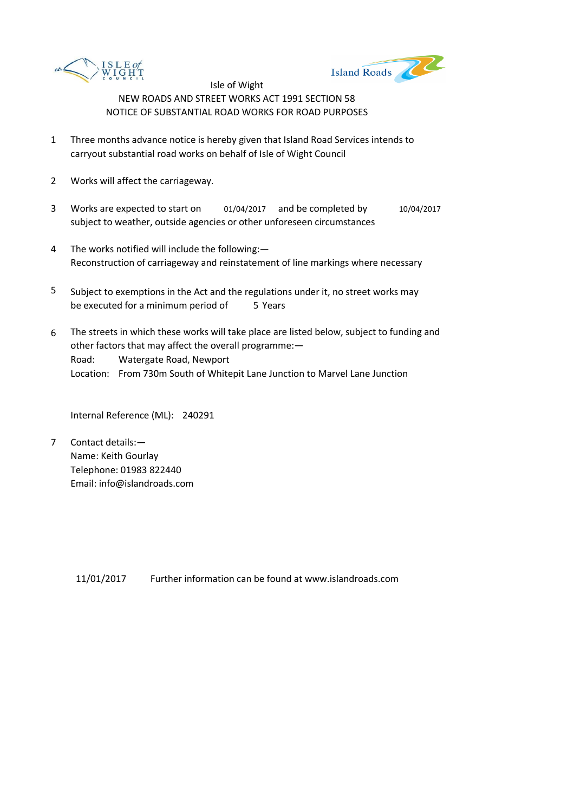



- 1 Three months advance notice is hereby given that Island Road Services intends to carryout substantial road works on behalf of Isle of Wight Council
- 2 Works will affect the carriageway.
- 3 Works are expected to start on  $01/04/2017$  and be completed by  $10/04/2017$ subject to weather, outside agencies or other unforeseen circumstances
- 4 The works notified will include the following:— Reconstruction of carriageway and reinstatement of line markings where necessary
- 5 be executed for a minimum period of 5 Years Subject to exemptions in the Act and the regulations under it, no street works may
- 6 Road: Watergate Road, Newport Location: From 730m South of Whitepit Lane Junction to Marvel Lane Junction The streets in which these works will take place are listed below, subject to funding and other factors that may affect the overall programme:—

Internal Reference (ML): 240291

7 Contact details:— Name: Keith Gourlay Telephone: 01983 822440 Email: info@islandroads.com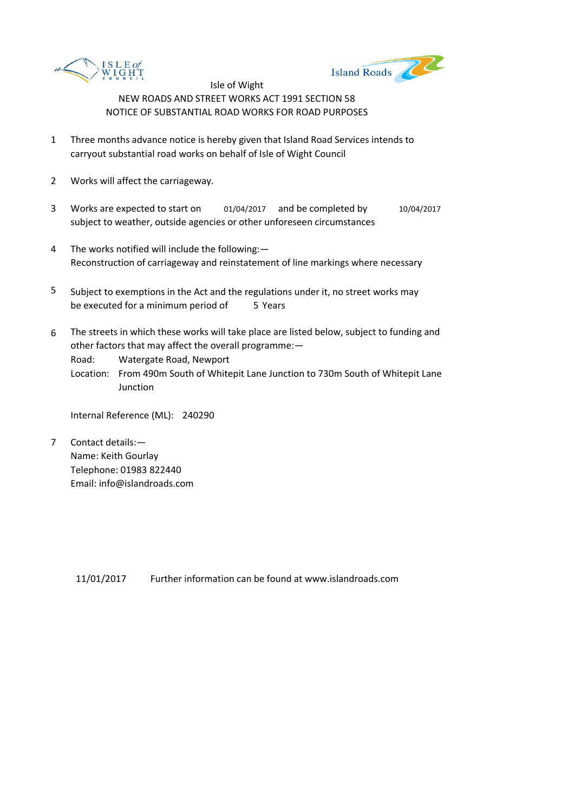



- 1 Three months advance notice is hereby given that Island Road Services intends to carryout substantial road works on behalf of Isle of Wight Council
- 2 Works will affect the carriageway.
- 3 Works are expected to start on  $01/04/2017$  and be completed by  $10/04/2017$ subject to weather, outside agencies or other unforeseen circumstances
- 4 The works notified will include the following:— Reconstruction of carriageway and reinstatement of line markings where necessary
- 5 be executed for a minimum period of 5 Years Subject to exemptions in the Act and the regulations under it, no street works may
- 6 The streets in which these works will take place are listed below, subject to funding and other factors that may affect the overall programme:—

Road: Watergate Road, Newport

Location: From 490m South of Whitepit Lane Junction to 730m South of Whitepit Lane Junction

Internal Reference (ML): 240290

7 Contact details:— Name: Keith Gourlay Telephone: 01983 822440 Email: info@islandroads.com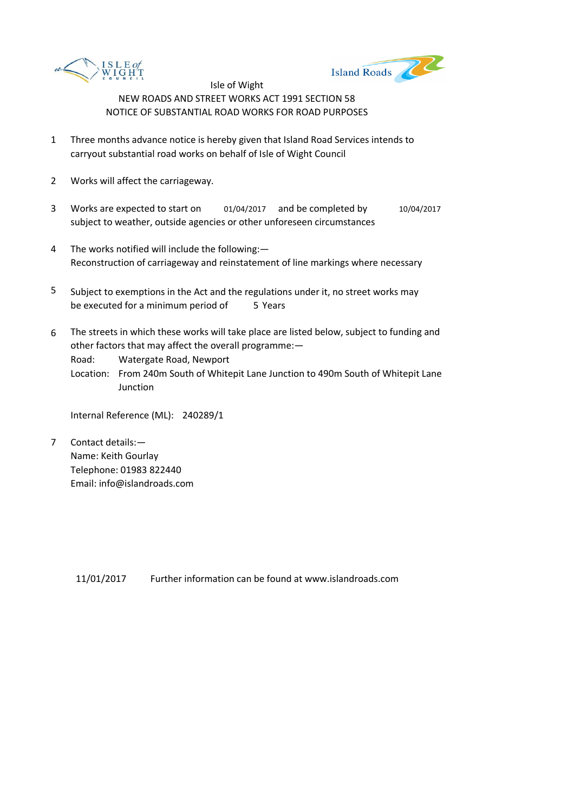



- 1 Three months advance notice is hereby given that Island Road Services intends to carryout substantial road works on behalf of Isle of Wight Council
- 2 Works will affect the carriageway.
- 3 Works are expected to start on  $01/04/2017$  and be completed by  $10/04/2017$ subject to weather, outside agencies or other unforeseen circumstances
- 4 The works notified will include the following:— Reconstruction of carriageway and reinstatement of line markings where necessary
- 5 be executed for a minimum period of 5 Years Subject to exemptions in the Act and the regulations under it, no street works may
- 6 The streets in which these works will take place are listed below, subject to funding and other factors that may affect the overall programme:—

Road: Watergate Road, Newport

Location: From 240m South of Whitepit Lane Junction to 490m South of Whitepit Lane Junction

Internal Reference (ML): 240289/1

7 Contact details:— Name: Keith Gourlay Telephone: 01983 822440 Email: info@islandroads.com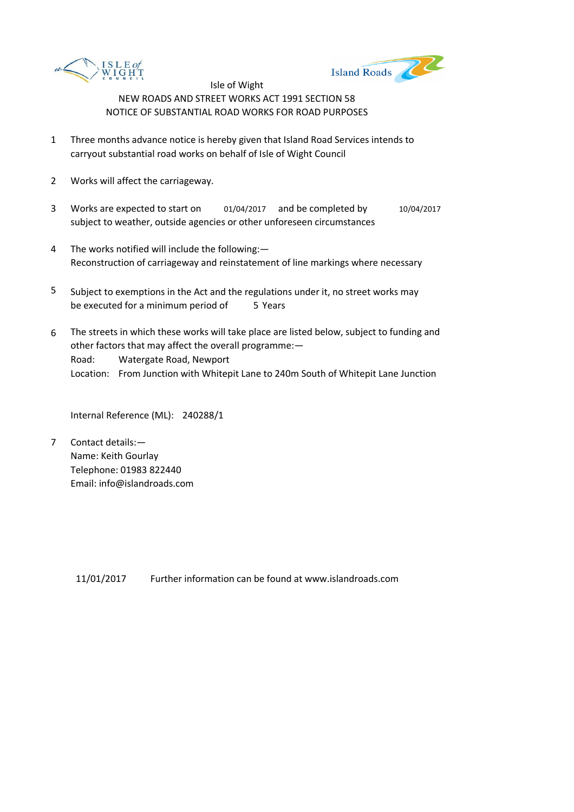



- 1 Three months advance notice is hereby given that Island Road Services intends to carryout substantial road works on behalf of Isle of Wight Council
- 2 Works will affect the carriageway.
- 3 Works are expected to start on  $01/04/2017$  and be completed by  $10/04/2017$ subject to weather, outside agencies or other unforeseen circumstances
- 4 The works notified will include the following:— Reconstruction of carriageway and reinstatement of line markings where necessary
- 5 be executed for a minimum period of 5 Years Subject to exemptions in the Act and the regulations under it, no street works may
- 6 Road: Watergate Road, Newport Location: From Junction with Whitepit Lane to 240m South of Whitepit Lane Junction The streets in which these works will take place are listed below, subject to funding and other factors that may affect the overall programme:—

Internal Reference (ML): 240288/1

7 Contact details:— Name: Keith Gourlay Telephone: 01983 822440 Email: info@islandroads.com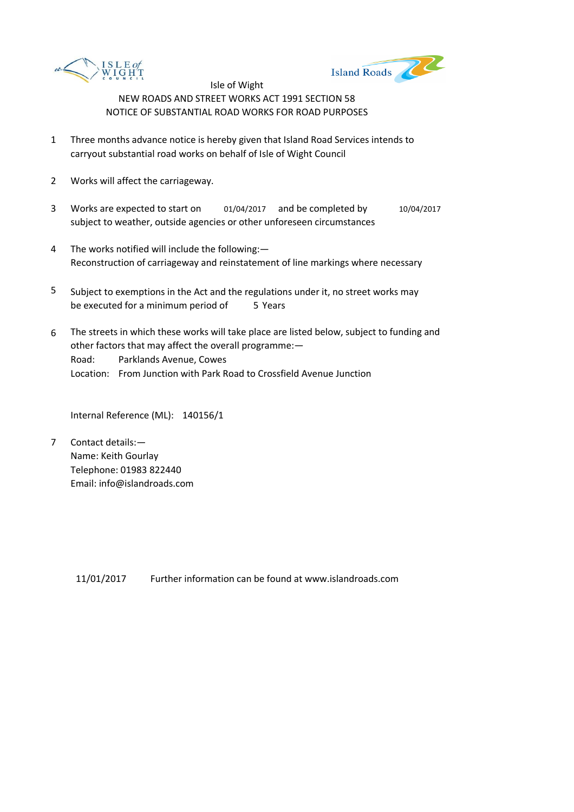



- 1 Three months advance notice is hereby given that Island Road Services intends to carryout substantial road works on behalf of Isle of Wight Council
- 2 Works will affect the carriageway.
- 3 Works are expected to start on  $01/04/2017$  and be completed by  $10/04/2017$ subject to weather, outside agencies or other unforeseen circumstances
- 4 The works notified will include the following:— Reconstruction of carriageway and reinstatement of line markings where necessary
- 5 be executed for a minimum period of 5 Years Subject to exemptions in the Act and the regulations under it, no street works may
- 6 Road: Parklands Avenue, Cowes Location: From Junction with Park Road to Crossfield Avenue Junction The streets in which these works will take place are listed below, subject to funding and other factors that may affect the overall programme:—

Internal Reference (ML): 140156/1

7 Contact details:— Name: Keith Gourlay Telephone: 01983 822440 Email: info@islandroads.com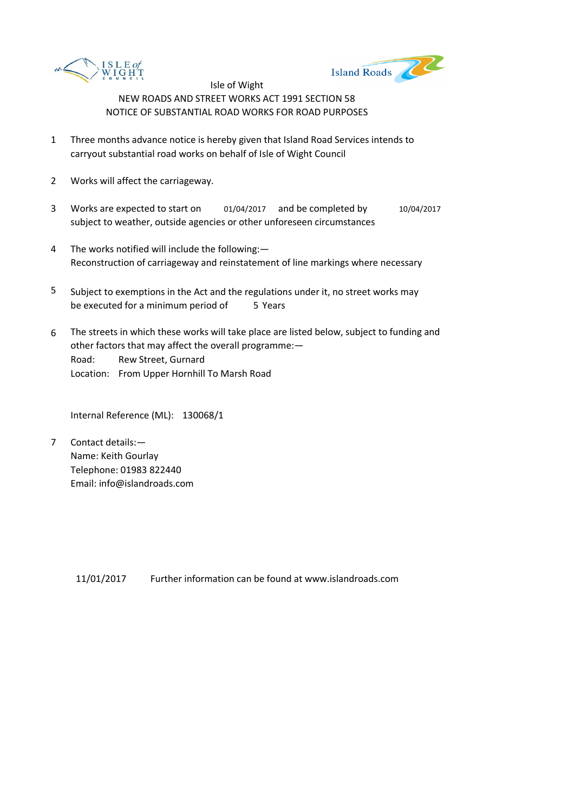



- 1 Three months advance notice is hereby given that Island Road Services intends to carryout substantial road works on behalf of Isle of Wight Council
- 2 Works will affect the carriageway.
- 3 Works are expected to start on  $01/04/2017$  and be completed by  $10/04/2017$ subject to weather, outside agencies or other unforeseen circumstances
- 4 The works notified will include the following:— Reconstruction of carriageway and reinstatement of line markings where necessary
- 5 be executed for a minimum period of 5 Years Subject to exemptions in the Act and the regulations under it, no street works may
- 6 Road: Rew Street, Gurnard Location: From Upper Hornhill To Marsh Road The streets in which these works will take place are listed below, subject to funding and other factors that may affect the overall programme:—

Internal Reference (ML): 130068/1

7 Contact details:— Name: Keith Gourlay Telephone: 01983 822440 Email: info@islandroads.com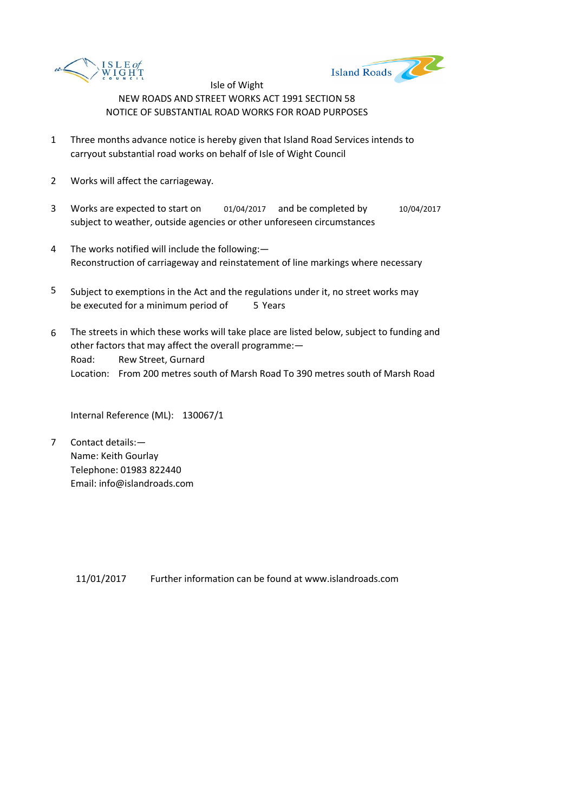



- 1 Three months advance notice is hereby given that Island Road Services intends to carryout substantial road works on behalf of Isle of Wight Council
- 2 Works will affect the carriageway.
- 3 Works are expected to start on  $01/04/2017$  and be completed by  $10/04/2017$ subject to weather, outside agencies or other unforeseen circumstances
- 4 The works notified will include the following:— Reconstruction of carriageway and reinstatement of line markings where necessary
- 5 be executed for a minimum period of 5 Years Subject to exemptions in the Act and the regulations under it, no street works may
- 6 Road: Rew Street, Gurnard Location: From 200 metres south of Marsh Road To 390 metres south of Marsh Road The streets in which these works will take place are listed below, subject to funding and other factors that may affect the overall programme:—

Internal Reference (ML): 130067/1

7 Contact details:— Name: Keith Gourlay Telephone: 01983 822440 Email: info@islandroads.com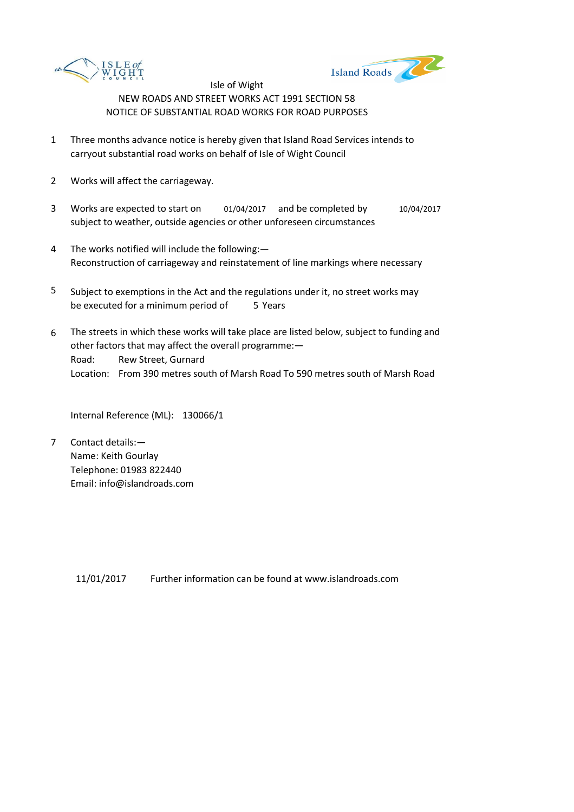



- 1 Three months advance notice is hereby given that Island Road Services intends to carryout substantial road works on behalf of Isle of Wight Council
- 2 Works will affect the carriageway.
- 3 Works are expected to start on  $01/04/2017$  and be completed by  $10/04/2017$ subject to weather, outside agencies or other unforeseen circumstances
- 4 The works notified will include the following:— Reconstruction of carriageway and reinstatement of line markings where necessary
- 5 be executed for a minimum period of 5 Years Subject to exemptions in the Act and the regulations under it, no street works may
- 6 Road: Rew Street, Gurnard Location: From 390 metres south of Marsh Road To 590 metres south of Marsh Road The streets in which these works will take place are listed below, subject to funding and other factors that may affect the overall programme:—

Internal Reference (ML): 130066/1

7 Contact details:— Name: Keith Gourlay Telephone: 01983 822440 Email: info@islandroads.com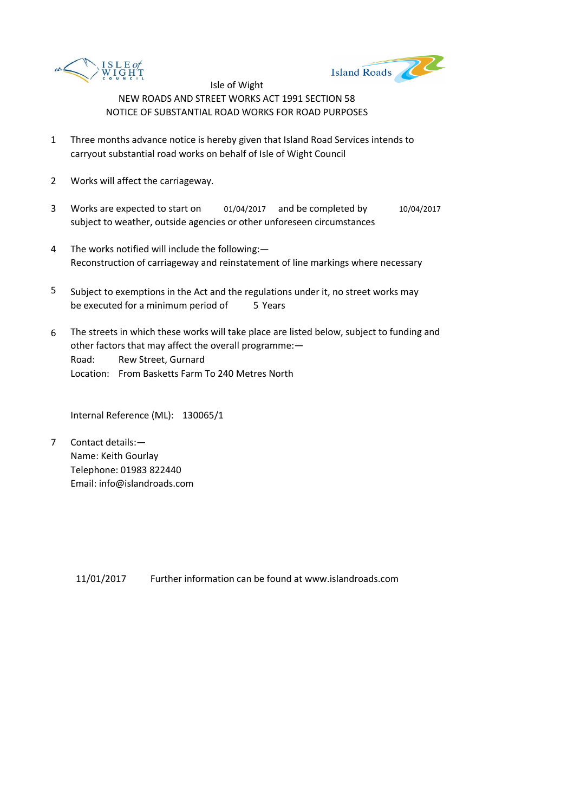



- 1 Three months advance notice is hereby given that Island Road Services intends to carryout substantial road works on behalf of Isle of Wight Council
- 2 Works will affect the carriageway.
- 3 Works are expected to start on  $01/04/2017$  and be completed by  $10/04/2017$ subject to weather, outside agencies or other unforeseen circumstances
- 4 The works notified will include the following:— Reconstruction of carriageway and reinstatement of line markings where necessary
- 5 be executed for a minimum period of 5 Years Subject to exemptions in the Act and the regulations under it, no street works may
- 6 Road: Rew Street, Gurnard Location: From Basketts Farm To 240 Metres North The streets in which these works will take place are listed below, subject to funding and other factors that may affect the overall programme:—

Internal Reference (ML): 130065/1

7 Contact details:— Name: Keith Gourlay Telephone: 01983 822440 Email: info@islandroads.com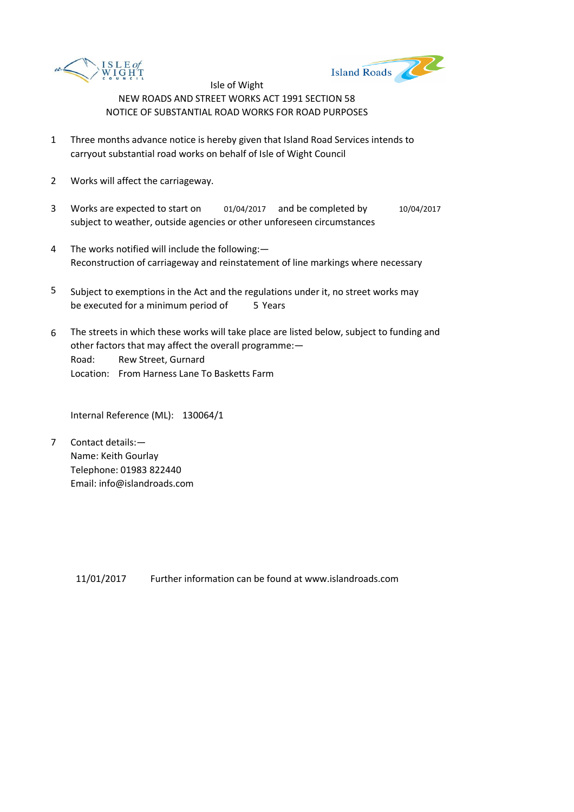



- 1 Three months advance notice is hereby given that Island Road Services intends to carryout substantial road works on behalf of Isle of Wight Council
- 2 Works will affect the carriageway.
- 3 Works are expected to start on  $01/04/2017$  and be completed by  $10/04/2017$ subject to weather, outside agencies or other unforeseen circumstances
- 4 The works notified will include the following:— Reconstruction of carriageway and reinstatement of line markings where necessary
- 5 be executed for a minimum period of 5 Years Subject to exemptions in the Act and the regulations under it, no street works may
- 6 Road: Rew Street, Gurnard Location: From Harness Lane To Basketts Farm The streets in which these works will take place are listed below, subject to funding and other factors that may affect the overall programme:—

Internal Reference (ML): 130064/1

7 Contact details:— Name: Keith Gourlay Telephone: 01983 822440 Email: info@islandroads.com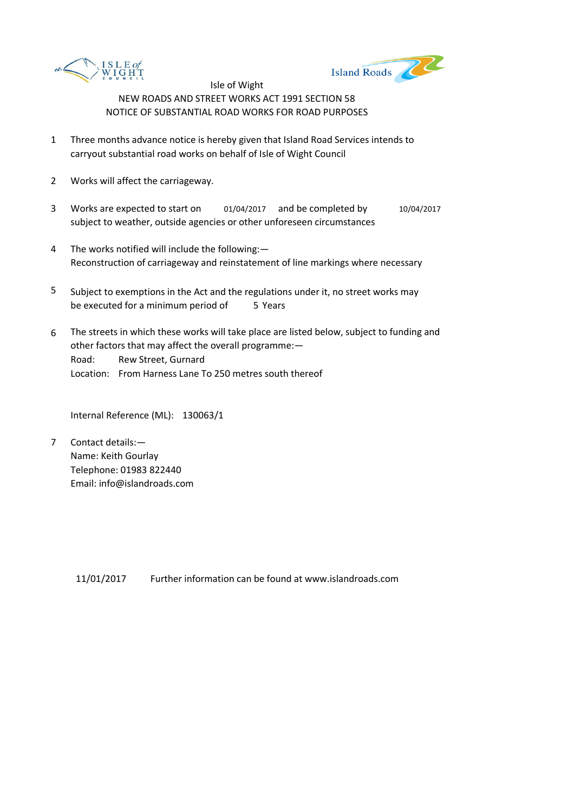



- 1 Three months advance notice is hereby given that Island Road Services intends to carryout substantial road works on behalf of Isle of Wight Council
- 2 Works will affect the carriageway.
- 3 Works are expected to start on  $01/04/2017$  and be completed by  $10/04/2017$ subject to weather, outside agencies or other unforeseen circumstances
- 4 The works notified will include the following:— Reconstruction of carriageway and reinstatement of line markings where necessary
- 5 be executed for a minimum period of 5 Years Subject to exemptions in the Act and the regulations under it, no street works may
- 6 Road: Rew Street, Gurnard Location: From Harness Lane To 250 metres south thereof The streets in which these works will take place are listed below, subject to funding and other factors that may affect the overall programme:—

Internal Reference (ML): 130063/1

7 Contact details:— Name: Keith Gourlay Telephone: 01983 822440 Email: info@islandroads.com